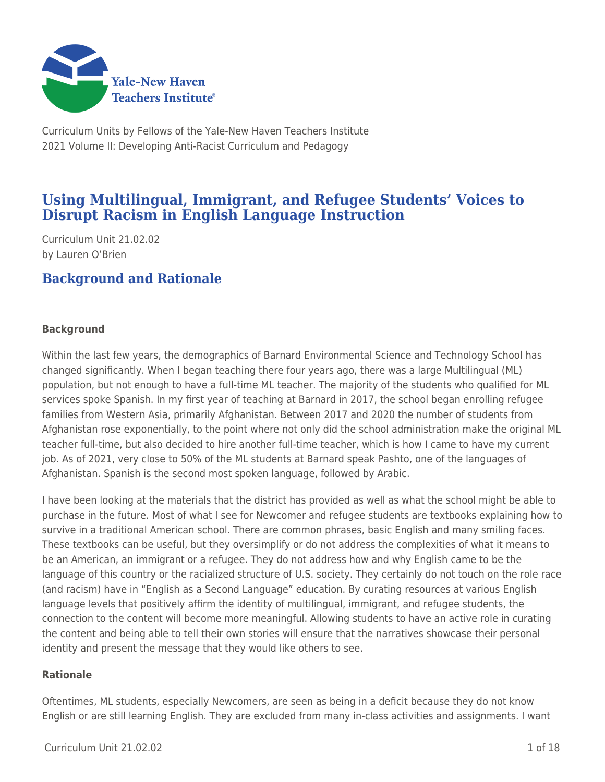

Curriculum Units by Fellows of the Yale-New Haven Teachers Institute 2021 Volume II: Developing Anti-Racist Curriculum and Pedagogy

# **Using Multilingual, Immigrant, and Refugee Students' Voices to Disrupt Racism in English Language Instruction**

Curriculum Unit 21.02.02 by Lauren O'Brien

# **Background and Rationale**

## **Background**

Within the last few years, the demographics of Barnard Environmental Science and Technology School has changed significantly. When I began teaching there four years ago, there was a large Multilingual (ML) population, but not enough to have a full-time ML teacher. The majority of the students who qualified for ML services spoke Spanish. In my first year of teaching at Barnard in 2017, the school began enrolling refugee families from Western Asia, primarily Afghanistan. Between 2017 and 2020 the number of students from Afghanistan rose exponentially, to the point where not only did the school administration make the original ML teacher full-time, but also decided to hire another full-time teacher, which is how I came to have my current job. As of 2021, very close to 50% of the ML students at Barnard speak Pashto, one of the languages of Afghanistan. Spanish is the second most spoken language, followed by Arabic.

I have been looking at the materials that the district has provided as well as what the school might be able to purchase in the future. Most of what I see for Newcomer and refugee students are textbooks explaining how to survive in a traditional American school. There are common phrases, basic English and many smiling faces. These textbooks can be useful, but they oversimplify or do not address the complexities of what it means to be an American, an immigrant or a refugee. They do not address how and why English came to be the language of this country or the racialized structure of U.S. society. They certainly do not touch on the role race (and racism) have in "English as a Second Language" education. By curating resources at various English language levels that positively affirm the identity of multilingual, immigrant, and refugee students, the connection to the content will become more meaningful. Allowing students to have an active role in curating the content and being able to tell their own stories will ensure that the narratives showcase their personal identity and present the message that they would like others to see.

## **Rationale**

Oftentimes, ML students, especially Newcomers, are seen as being in a deficit because they do not know English or are still learning English. They are excluded from many in-class activities and assignments. I want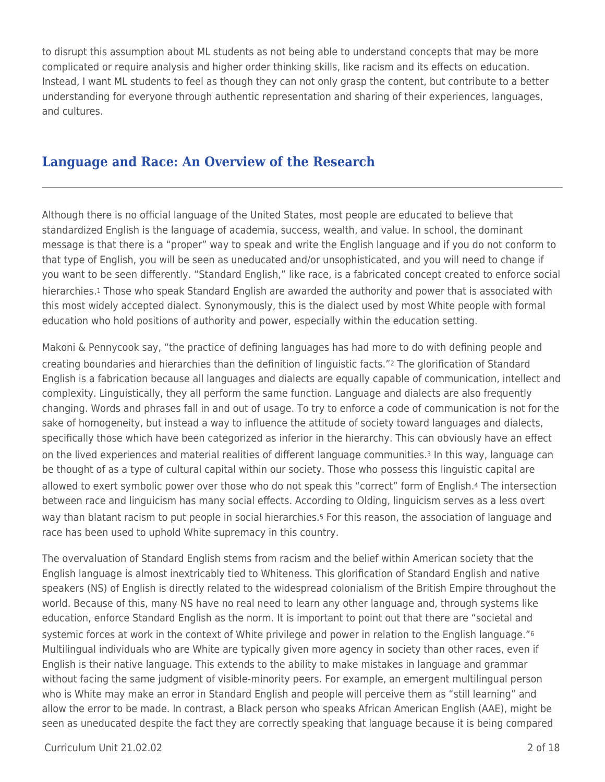to disrupt this assumption about ML students as not being able to understand concepts that may be more complicated or require analysis and higher order thinking skills, like racism and its effects on education. Instead, I want ML students to feel as though they can not only grasp the content, but contribute to a better understanding for everyone through authentic representation and sharing of their experiences, languages, and cultures.

# **Language and Race: An Overview of the Research**

Although there is no official language of the United States, most people are educated to believe that standardized English is the language of academia, success, wealth, and value. In school, the dominant message is that there is a "proper" way to speak and write the English language and if you do not conform to that type of English, you will be seen as uneducated and/or unsophisticated, and you will need to change if you want to be seen differently. "Standard English," like race, is a fabricated concept created to enforce social hierarchies.<sup>1</sup> Those who speak Standard English are awarded the authority and power that is associated with this most widely accepted dialect. Synonymously, this is the dialect used by most White people with formal education who hold positions of authority and power, especially within the education setting.

Makoni & Pennycook say, "the practice of defining languages has had more to do with defining people and creating boundaries and hierarchies than the definition of linguistic facts."2 The glorification of Standard English is a fabrication because all languages and dialects are equally capable of communication, intellect and complexity. Linguistically, they all perform the same function. Language and dialects are also frequently changing. Words and phrases fall in and out of usage. To try to enforce a code of communication is not for the sake of homogeneity, but instead a way to influence the attitude of society toward languages and dialects, specifically those which have been categorized as inferior in the hierarchy. This can obviously have an effect on the lived experiences and material realities of different language communities.3 In this way, language can be thought of as a type of cultural capital within our society. Those who possess this linguistic capital are allowed to exert symbolic power over those who do not speak this "correct" form of English.4 The intersection between race and linguicism has many social effects. According to Olding, linguicism serves as a less overt way than blatant racism to put people in social hierarchies.5 For this reason, the association of language and race has been used to uphold White supremacy in this country.

The overvaluation of Standard English stems from racism and the belief within American society that the English language is almost inextricably tied to Whiteness. This glorification of Standard English and native speakers (NS) of English is directly related to the widespread colonialism of the British Empire throughout the world. Because of this, many NS have no real need to learn any other language and, through systems like education, enforce Standard English as the norm. It is important to point out that there are "societal and systemic forces at work in the context of White privilege and power in relation to the English language."<sup>6</sup> Multilingual individuals who are White are typically given more agency in society than other races, even if English is their native language. This extends to the ability to make mistakes in language and grammar without facing the same judgment of visible-minority peers. For example, an emergent multilingual person who is White may make an error in Standard English and people will perceive them as "still learning" and allow the error to be made. In contrast, a Black person who speaks African American English (AAE), might be seen as uneducated despite the fact they are correctly speaking that language because it is being compared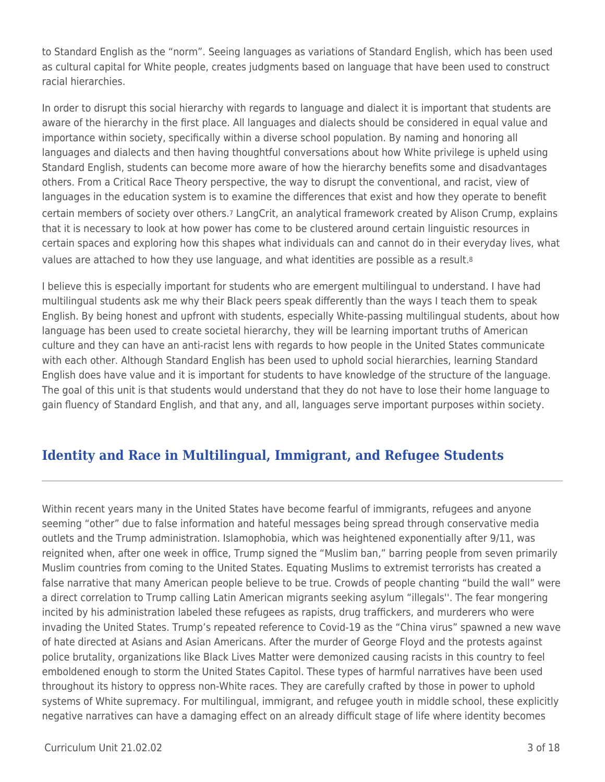to Standard English as the "norm". Seeing languages as variations of Standard English, which has been used as cultural capital for White people, creates judgments based on language that have been used to construct racial hierarchies.

In order to disrupt this social hierarchy with regards to language and dialect it is important that students are aware of the hierarchy in the first place. All languages and dialects should be considered in equal value and importance within society, specifically within a diverse school population. By naming and honoring all languages and dialects and then having thoughtful conversations about how White privilege is upheld using Standard English, students can become more aware of how the hierarchy benefits some and disadvantages others. From a Critical Race Theory perspective, the way to disrupt the conventional, and racist, view of languages in the education system is to examine the differences that exist and how they operate to benefit certain members of society over others.7 LangCrit, an analytical framework created by Alison Crump, explains that it is necessary to look at how power has come to be clustered around certain linguistic resources in certain spaces and exploring how this shapes what individuals can and cannot do in their everyday lives, what values are attached to how they use language, and what identities are possible as a result.<sup>8</sup>

I believe this is especially important for students who are emergent multilingual to understand. I have had multilingual students ask me why their Black peers speak differently than the ways I teach them to speak English. By being honest and upfront with students, especially White-passing multilingual students, about how language has been used to create societal hierarchy, they will be learning important truths of American culture and they can have an anti-racist lens with regards to how people in the United States communicate with each other. Although Standard English has been used to uphold social hierarchies, learning Standard English does have value and it is important for students to have knowledge of the structure of the language. The goal of this unit is that students would understand that they do not have to lose their home language to gain fluency of Standard English, and that any, and all, languages serve important purposes within society.

# **Identity and Race in Multilingual, Immigrant, and Refugee Students**

Within recent years many in the United States have become fearful of immigrants, refugees and anyone seeming "other" due to false information and hateful messages being spread through conservative media outlets and the Trump administration. Islamophobia, which was heightened exponentially after 9/11, was reignited when, after one week in office, Trump signed the "Muslim ban," barring people from seven primarily Muslim countries from coming to the United States. Equating Muslims to extremist terrorists has created a false narrative that many American people believe to be true. Crowds of people chanting "build the wall" were a direct correlation to Trump calling Latin American migrants seeking asylum "illegals''. The fear mongering incited by his administration labeled these refugees as rapists, drug traffickers, and murderers who were invading the United States. Trump's repeated reference to Covid-19 as the "China virus" spawned a new wave of hate directed at Asians and Asian Americans. After the murder of George Floyd and the protests against police brutality, organizations like Black Lives Matter were demonized causing racists in this country to feel emboldened enough to storm the United States Capitol. These types of harmful narratives have been used throughout its history to oppress non-White races. They are carefully crafted by those in power to uphold systems of White supremacy. For multilingual, immigrant, and refugee youth in middle school, these explicitly negative narratives can have a damaging effect on an already difficult stage of life where identity becomes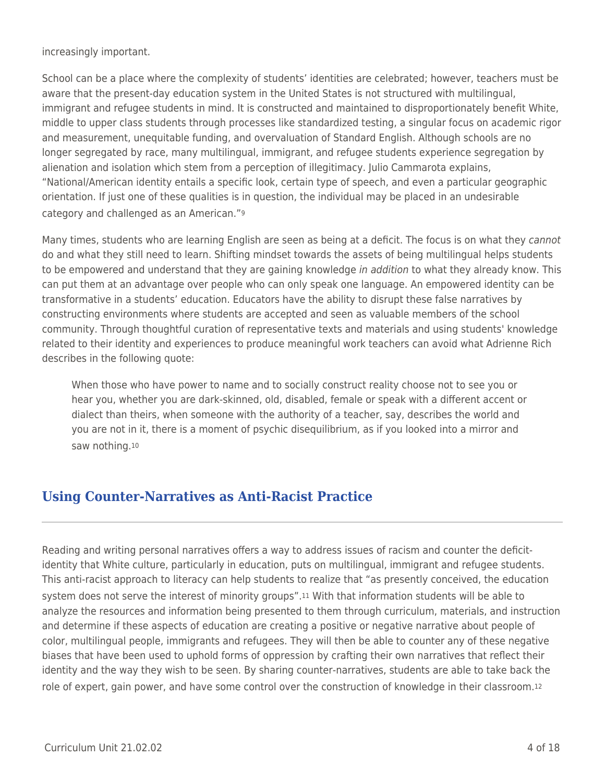increasingly important.

School can be a place where the complexity of students' identities are celebrated; however, teachers must be aware that the present-day education system in the United States is not structured with multilingual, immigrant and refugee students in mind. It is constructed and maintained to disproportionately benefit White, middle to upper class students through processes like standardized testing, a singular focus on academic rigor and measurement, unequitable funding, and overvaluation of Standard English. Although schools are no longer segregated by race, many multilingual, immigrant, and refugee students experience segregation by alienation and isolation which stem from a perception of illegitimacy. Julio Cammarota explains, "National/American identity entails a specific look, certain type of speech, and even a particular geographic orientation. If just one of these qualities is in question, the individual may be placed in an undesirable category and challenged as an American."<sup>9</sup>

Many times, students who are learning English are seen as being at a deficit. The focus is on what they cannot do and what they still need to learn. Shifting mindset towards the assets of being multilingual helps students to be empowered and understand that they are gaining knowledge in addition to what they already know. This can put them at an advantage over people who can only speak one language. An empowered identity can be transformative in a students' education. Educators have the ability to disrupt these false narratives by constructing environments where students are accepted and seen as valuable members of the school community. Through thoughtful curation of representative texts and materials and using students' knowledge related to their identity and experiences to produce meaningful work teachers can avoid what Adrienne Rich describes in the following quote:

When those who have power to name and to socially construct reality choose not to see you or hear you, whether you are dark-skinned, old, disabled, female or speak with a different accent or dialect than theirs, when someone with the authority of a teacher, say, describes the world and you are not in it, there is a moment of psychic disequilibrium, as if you looked into a mirror and saw nothing.<sup>10</sup>

# **Using Counter-Narratives as Anti-Racist Practice**

Reading and writing personal narratives offers a way to address issues of racism and counter the deficitidentity that White culture, particularly in education, puts on multilingual, immigrant and refugee students. This anti-racist approach to literacy can help students to realize that "as presently conceived, the education system does not serve the interest of minority groups".11 With that information students will be able to analyze the resources and information being presented to them through curriculum, materials, and instruction and determine if these aspects of education are creating a positive or negative narrative about people of color, multilingual people, immigrants and refugees. They will then be able to counter any of these negative biases that have been used to uphold forms of oppression by crafting their own narratives that reflect their identity and the way they wish to be seen. By sharing counter-narratives, students are able to take back the role of expert, gain power, and have some control over the construction of knowledge in their classroom.12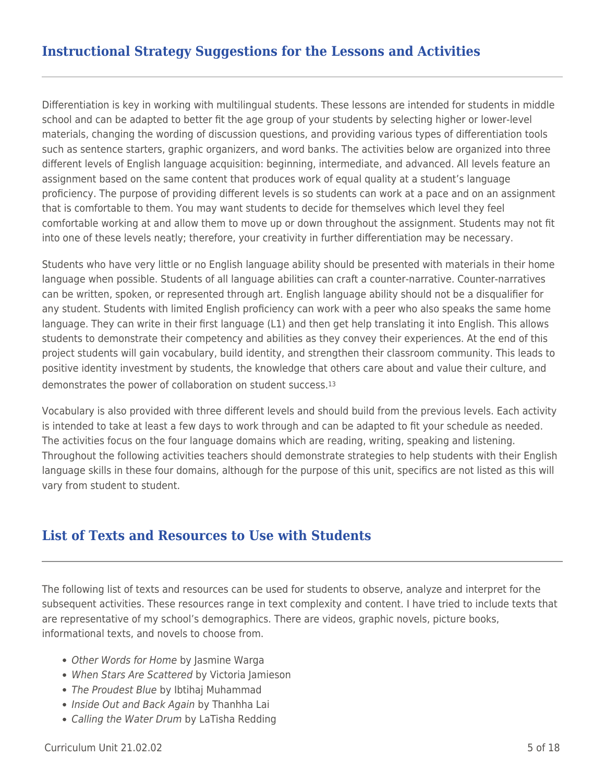# **Instructional Strategy Suggestions for the Lessons and Activities**

Differentiation is key in working with multilingual students. These lessons are intended for students in middle school and can be adapted to better fit the age group of your students by selecting higher or lower-level materials, changing the wording of discussion questions, and providing various types of differentiation tools such as sentence starters, graphic organizers, and word banks. The activities below are organized into three different levels of English language acquisition: beginning, intermediate, and advanced. All levels feature an assignment based on the same content that produces work of equal quality at a student's language proficiency. The purpose of providing different levels is so students can work at a pace and on an assignment that is comfortable to them. You may want students to decide for themselves which level they feel comfortable working at and allow them to move up or down throughout the assignment. Students may not fit into one of these levels neatly; therefore, your creativity in further differentiation may be necessary.

Students who have very little or no English language ability should be presented with materials in their home language when possible. Students of all language abilities can craft a counter-narrative. Counter-narratives can be written, spoken, or represented through art. English language ability should not be a disqualifier for any student. Students with limited English proficiency can work with a peer who also speaks the same home language. They can write in their first language (L1) and then get help translating it into English. This allows students to demonstrate their competency and abilities as they convey their experiences. At the end of this project students will gain vocabulary, build identity, and strengthen their classroom community. This leads to positive identity investment by students, the knowledge that others care about and value their culture, and demonstrates the power of collaboration on student success.<sup>13</sup>

Vocabulary is also provided with three different levels and should build from the previous levels. Each activity is intended to take at least a few days to work through and can be adapted to fit your schedule as needed. The activities focus on the four language domains which are reading, writing, speaking and listening. Throughout the following activities teachers should demonstrate strategies to help students with their English language skills in these four domains, although for the purpose of this unit, specifics are not listed as this will vary from student to student.

## **List of Texts and Resources to Use with Students**

The following list of texts and resources can be used for students to observe, analyze and interpret for the subsequent activities. These resources range in text complexity and content. I have tried to include texts that are representative of my school's demographics. There are videos, graphic novels, picture books, informational texts, and novels to choose from.

- Other Words for Home by Jasmine Warga
- When Stars Are Scattered by Victoria Jamieson
- The Proudest Blue by Ibtihaj Muhammad
- Inside Out and Back Again by Thanhha Lai
- Calling the Water Drum by LaTisha Redding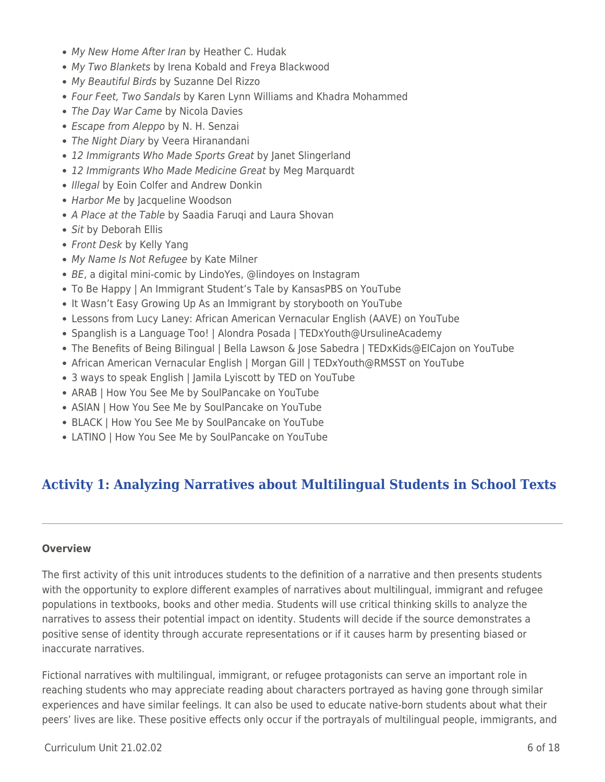- My New Home After Iran by Heather C. Hudak
- My Two Blankets by Irena Kobald and Freya Blackwood
- My Beautiful Birds by Suzanne Del Rizzo
- Four Feet, Two Sandals by Karen Lynn Williams and Khadra Mohammed
- The Day War Came by Nicola Davies
- Escape from Aleppo by N. H. Senzai
- The Night Diary by Veera Hiranandani
- 12 Immigrants Who Made Sports Great by Janet Slingerland
- 12 Immigrants Who Made Medicine Great by Meg Marquardt
- Illegal by Eoin Colfer and Andrew Donkin
- Harbor Me by Jacqueline Woodson
- A Place at the Table by Saadia Farugi and Laura Shovan
- Sit by Deborah Ellis
- Front Desk by Kelly Yang
- My Name Is Not Refugee by Kate Milner
- BE, a digital mini-comic by LindoYes, @lindoyes on Instagram
- To Be Happy | An Immigrant Student's Tale by KansasPBS on YouTube
- It Wasn't Easy Growing Up As an Immigrant by storybooth on YouTube
- Lessons from Lucy Laney: African American Vernacular English (AAVE) on YouTube
- Spanglish is a Language Too! | Alondra Posada | TEDxYouth@UrsulineAcademy
- The Benefits of Being Bilingual | Bella Lawson & Jose Sabedra | TEDxKids@ElCajon on YouTube
- African American Vernacular English | Morgan Gill | TEDxYouth@RMSST on YouTube
- 3 ways to speak English | Jamila Lyiscott by TED on YouTube
- ARAB | How You See Me by SoulPancake on YouTube
- ASIAN | How You See Me by SoulPancake on YouTube
- BLACK | How You See Me by SoulPancake on YouTube
- LATINO | How You See Me by SoulPancake on YouTube

# **Activity 1: Analyzing Narratives about Multilingual Students in School Texts**

## **Overview**

The first activity of this unit introduces students to the definition of a narrative and then presents students with the opportunity to explore different examples of narratives about multilingual, immigrant and refugee populations in textbooks, books and other media. Students will use critical thinking skills to analyze the narratives to assess their potential impact on identity. Students will decide if the source demonstrates a positive sense of identity through accurate representations or if it causes harm by presenting biased or inaccurate narratives.

Fictional narratives with multilingual, immigrant, or refugee protagonists can serve an important role in reaching students who may appreciate reading about characters portrayed as having gone through similar experiences and have similar feelings. It can also be used to educate native-born students about what their peers' lives are like. These positive effects only occur if the portrayals of multilingual people, immigrants, and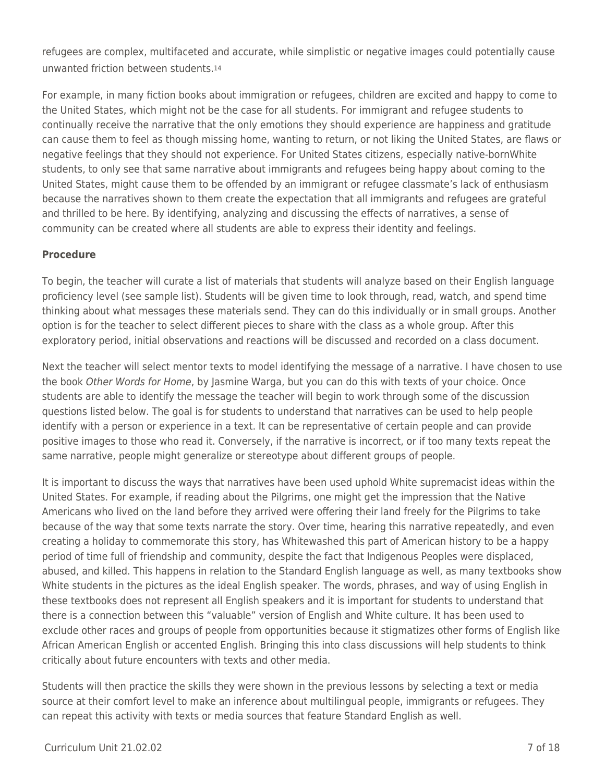refugees are complex, multifaceted and accurate, while simplistic or negative images could potentially cause unwanted friction between students.<sup>14</sup>

For example, in many fiction books about immigration or refugees, children are excited and happy to come to the United States, which might not be the case for all students. For immigrant and refugee students to continually receive the narrative that the only emotions they should experience are happiness and gratitude can cause them to feel as though missing home, wanting to return, or not liking the United States, are flaws or negative feelings that they should not experience. For United States citizens, especially native-bornWhite students, to only see that same narrative about immigrants and refugees being happy about coming to the United States, might cause them to be offended by an immigrant or refugee classmate's lack of enthusiasm because the narratives shown to them create the expectation that all immigrants and refugees are grateful and thrilled to be here. By identifying, analyzing and discussing the effects of narratives, a sense of community can be created where all students are able to express their identity and feelings.

## **Procedure**

To begin, the teacher will curate a list of materials that students will analyze based on their English language proficiency level (see sample list). Students will be given time to look through, read, watch, and spend time thinking about what messages these materials send. They can do this individually or in small groups. Another option is for the teacher to select different pieces to share with the class as a whole group. After this exploratory period, initial observations and reactions will be discussed and recorded on a class document.

Next the teacher will select mentor texts to model identifying the message of a narrative. I have chosen to use the book Other Words for Home, by Jasmine Warga, but you can do this with texts of your choice. Once students are able to identify the message the teacher will begin to work through some of the discussion questions listed below. The goal is for students to understand that narratives can be used to help people identify with a person or experience in a text. It can be representative of certain people and can provide positive images to those who read it. Conversely, if the narrative is incorrect, or if too many texts repeat the same narrative, people might generalize or stereotype about different groups of people.

It is important to discuss the ways that narratives have been used uphold White supremacist ideas within the United States. For example, if reading about the Pilgrims, one might get the impression that the Native Americans who lived on the land before they arrived were offering their land freely for the Pilgrims to take because of the way that some texts narrate the story. Over time, hearing this narrative repeatedly, and even creating a holiday to commemorate this story, has Whitewashed this part of American history to be a happy period of time full of friendship and community, despite the fact that Indigenous Peoples were displaced, abused, and killed. This happens in relation to the Standard English language as well, as many textbooks show White students in the pictures as the ideal English speaker. The words, phrases, and way of using English in these textbooks does not represent all English speakers and it is important for students to understand that there is a connection between this "valuable" version of English and White culture. It has been used to exclude other races and groups of people from opportunities because it stigmatizes other forms of English like African American English or accented English. Bringing this into class discussions will help students to think critically about future encounters with texts and other media.

Students will then practice the skills they were shown in the previous lessons by selecting a text or media source at their comfort level to make an inference about multilingual people, immigrants or refugees. They can repeat this activity with texts or media sources that feature Standard English as well.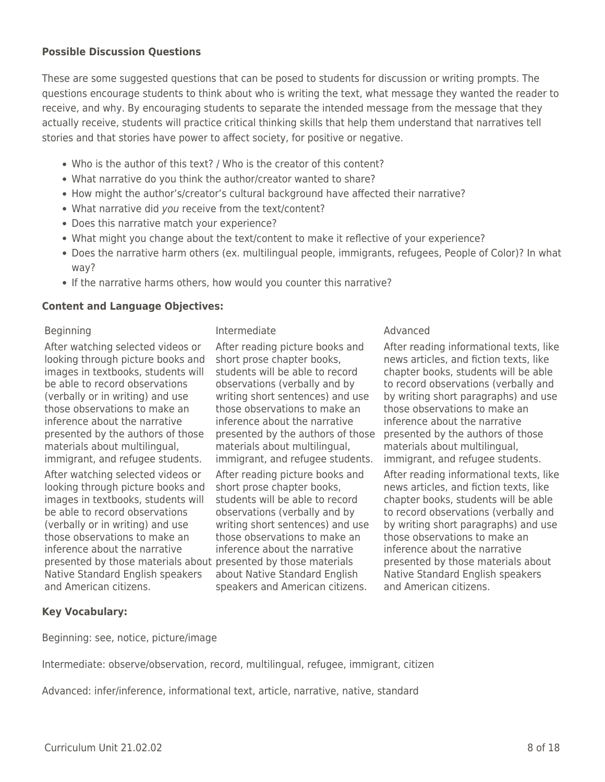## **Possible Discussion Questions**

These are some suggested questions that can be posed to students for discussion or writing prompts. The questions encourage students to think about who is writing the text, what message they wanted the reader to receive, and why. By encouraging students to separate the intended message from the message that they actually receive, students will practice critical thinking skills that help them understand that narratives tell stories and that stories have power to affect society, for positive or negative.

- Who is the author of this text? / Who is the creator of this content?
- What narrative do you think the author/creator wanted to share?
- How might the author's/creator's cultural background have affected their narrative?
- What narrative did you receive from the text/content?
- Does this narrative match your experience?
- What might you change about the text/content to make it reflective of your experience?
- Does the narrative harm others (ex. multilingual people, immigrants, refugees, People of Color)? In what way?
- If the narrative harms others, how would you counter this narrative?

## **Content and Language Objectives:**

After watching selected videos or looking through picture books and images in textbooks, students will be able to record observations (verbally or in writing) and use those observations to make an inference about the narrative presented by the authors of those materials about multilingual, immigrant, and refugee students.

After watching selected videos or looking through picture books and images in textbooks, students will be able to record observations (verbally or in writing) and use those observations to make an inference about the narrative presented by those materials about presented by those materials Native Standard English speakers and American citizens.

Beginning **Intermediate Intermediate** Advanced

After reading picture books and short prose chapter books, students will be able to record observations (verbally and by writing short sentences) and use those observations to make an inference about the narrative presented by the authors of those materials about multilingual, immigrant, and refugee students.

After reading picture books and short prose chapter books, students will be able to record observations (verbally and by writing short sentences) and use those observations to make an inference about the narrative about Native Standard English speakers and American citizens.

After reading informational texts, like news articles, and fiction texts, like chapter books, students will be able to record observations (verbally and by writing short paragraphs) and use those observations to make an inference about the narrative presented by the authors of those materials about multilingual, immigrant, and refugee students.

After reading informational texts, like news articles, and fiction texts, like chapter books, students will be able to record observations (verbally and by writing short paragraphs) and use those observations to make an inference about the narrative presented by those materials about Native Standard English speakers and American citizens.

## **Key Vocabulary:**

Beginning: see, notice, picture/image

Intermediate: observe/observation, record, multilingual, refugee, immigrant, citizen

Advanced: infer/inference, informational text, article, narrative, native, standard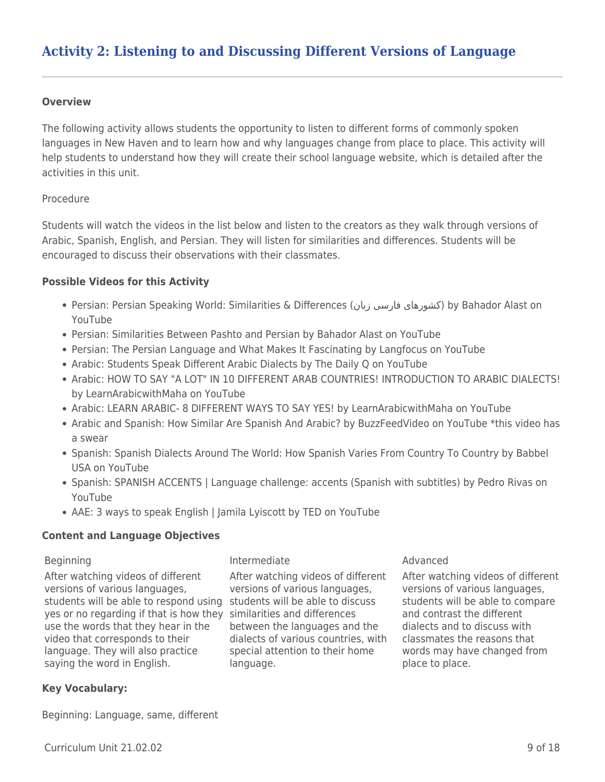## **Overview**

The following activity allows students the opportunity to listen to different forms of commonly spoken languages in New Haven and to learn how and why languages change from place to place. This activity will help students to understand how they will create their school language website, which is detailed after the activities in this unit.

## Procedure

Students will watch the videos in the list below and listen to the creators as they walk through versions of Arabic, Spanish, English, and Persian. They will listen for similarities and differences. Students will be encouraged to discuss their observations with their classmates.

## **Possible Videos for this Activity**

- Persian: Persian Speaking World: Similarities & Differences (زبان فارسی کشورهای (by Bahador Alast on YouTube
- Persian: Similarities Between Pashto and Persian by Bahador Alast on YouTube
- Persian: The Persian Language and What Makes It Fascinating by Langfocus on YouTube
- Arabic: Students Speak Different Arabic Dialects by The Daily Q on YouTube
- Arabic: HOW TO SAY "A LOT" IN 10 DIFFERENT ARAB COUNTRIES! INTRODUCTION TO ARABIC DIALECTS! by LearnArabicwithMaha on YouTube
- Arabic: LEARN ARABIC- 8 DIFFERENT WAYS TO SAY YES! by LearnArabicwithMaha on YouTube
- Arabic and Spanish: How Similar Are Spanish And Arabic? by BuzzFeedVideo on YouTube \*this video has a swear
- Spanish: Spanish Dialects Around The World: How Spanish Varies From Country To Country by Babbel USA on YouTube
- Spanish: SPANISH ACCENTS | Language challenge: accents (Spanish with subtitles) by Pedro Rivas on YouTube
- AAE: 3 ways to speak English | Jamila Lyiscott by TED on YouTube

## **Content and Language Objectives**

After watching videos of different versions of various languages, students will be able to respond using students will be able to discuss yes or no regarding if that is how they similarities and differences use the words that they hear in the video that corresponds to their language. They will also practice saying the word in English.

## Beginning **Intermediate Intermediate** Advanced

After watching videos of different versions of various languages, between the languages and the dialects of various countries, with special attention to their home language.

After watching videos of different versions of various languages, students will be able to compare and contrast the different dialects and to discuss with classmates the reasons that words may have changed from place to place.

## **Key Vocabulary:**

Beginning: Language, same, different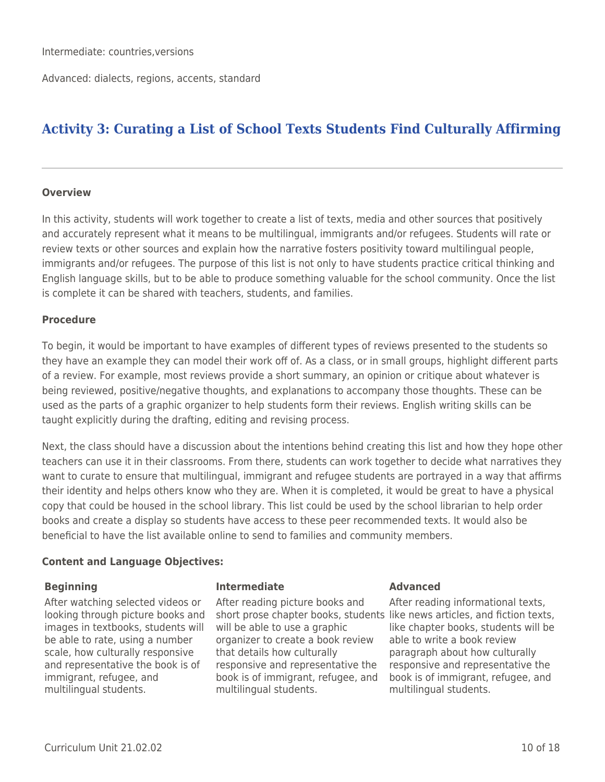Advanced: dialects, regions, accents, standard

# **Activity 3: Curating a List of School Texts Students Find Culturally Affirming**

## **Overview**

In this activity, students will work together to create a list of texts, media and other sources that positively and accurately represent what it means to be multilingual, immigrants and/or refugees. Students will rate or review texts or other sources and explain how the narrative fosters positivity toward multilingual people, immigrants and/or refugees. The purpose of this list is not only to have students practice critical thinking and English language skills, but to be able to produce something valuable for the school community. Once the list is complete it can be shared with teachers, students, and families.

## **Procedure**

To begin, it would be important to have examples of different types of reviews presented to the students so they have an example they can model their work off of. As a class, or in small groups, highlight different parts of a review. For example, most reviews provide a short summary, an opinion or critique about whatever is being reviewed, positive/negative thoughts, and explanations to accompany those thoughts. These can be used as the parts of a graphic organizer to help students form their reviews. English writing skills can be taught explicitly during the drafting, editing and revising process.

Next, the class should have a discussion about the intentions behind creating this list and how they hope other teachers can use it in their classrooms. From there, students can work together to decide what narratives they want to curate to ensure that multilingual, immigrant and refugee students are portrayed in a way that affirms their identity and helps others know who they are. When it is completed, it would be great to have a physical copy that could be housed in the school library. This list could be used by the school librarian to help order books and create a display so students have access to these peer recommended texts. It would also be beneficial to have the list available online to send to families and community members.

## **Content and Language Objectives:**

After watching selected videos or looking through picture books and images in textbooks, students will be able to rate, using a number scale, how culturally responsive and representative the book is of immigrant, refugee, and multilingual students.

## **Beginning Intermediate Advanced**

After reading picture books and short prose chapter books, students like news articles, and fiction texts, will be able to use a graphic organizer to create a book review that details how culturally responsive and representative the book is of immigrant, refugee, and multilingual students.

After reading informational texts, like chapter books, students will be able to write a book review paragraph about how culturally responsive and representative the book is of immigrant, refugee, and multilingual students.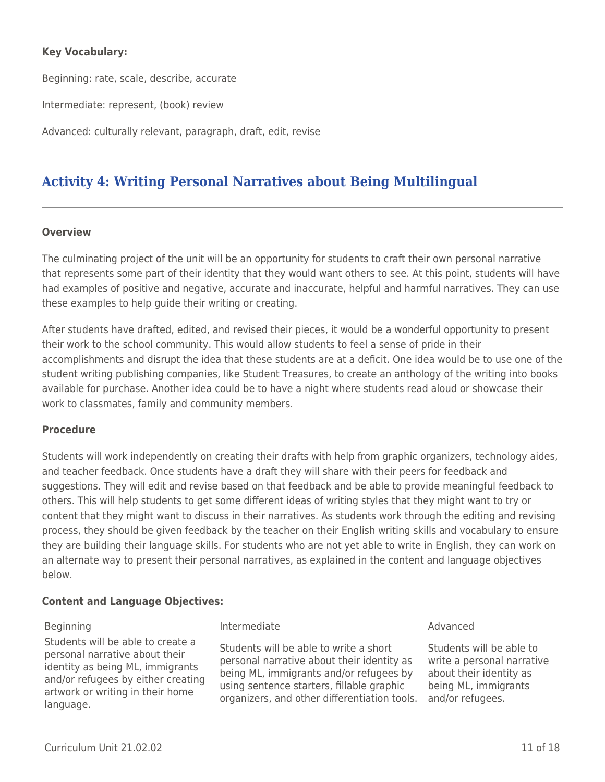## **Key Vocabulary:**

Beginning: rate, scale, describe, accurate

Intermediate: represent, (book) review

Advanced: culturally relevant, paragraph, draft, edit, revise

# **Activity 4: Writing Personal Narratives about Being Multilingual**

## **Overview**

The culminating project of the unit will be an opportunity for students to craft their own personal narrative that represents some part of their identity that they would want others to see. At this point, students will have had examples of positive and negative, accurate and inaccurate, helpful and harmful narratives. They can use these examples to help guide their writing or creating.

After students have drafted, edited, and revised their pieces, it would be a wonderful opportunity to present their work to the school community. This would allow students to feel a sense of pride in their accomplishments and disrupt the idea that these students are at a deficit. One idea would be to use one of the student writing publishing companies, like Student Treasures, to create an anthology of the writing into books available for purchase. Another idea could be to have a night where students read aloud or showcase their work to classmates, family and community members.

## **Procedure**

Students will work independently on creating their drafts with help from graphic organizers, technology aides, and teacher feedback. Once students have a draft they will share with their peers for feedback and suggestions. They will edit and revise based on that feedback and be able to provide meaningful feedback to others. This will help students to get some different ideas of writing styles that they might want to try or content that they might want to discuss in their narratives. As students work through the editing and revising process, they should be given feedback by the teacher on their English writing skills and vocabulary to ensure they are building their language skills. For students who are not yet able to write in English, they can work on an alternate way to present their personal narratives, as explained in the content and language objectives below.

## **Content and Language Objectives:**

Students will be able to create a personal narrative about their identity as being ML, immigrants and/or refugees by either creating artwork or writing in their home language.

## Beginning **Intermediate Intermediate Intermediate** Advanced

Students will be able to write a short personal narrative about their identity as being ML, immigrants and/or refugees by using sentence starters, fillable graphic organizers, and other differentiation tools.

Students will be able to write a personal narrative about their identity as being ML, immigrants and/or refugees.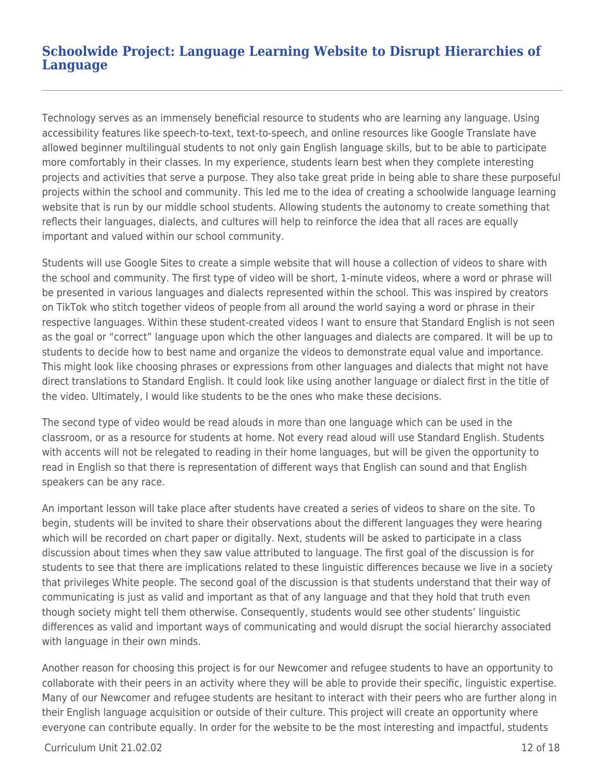## **Schoolwide Project: Language Learning Website to Disrupt Hierarchies of Language**

Technology serves as an immensely beneficial resource to students who are learning any language. Using accessibility features like speech-to-text, text-to-speech, and online resources like Google Translate have allowed beginner multilingual students to not only gain English language skills, but to be able to participate more comfortably in their classes. In my experience, students learn best when they complete interesting projects and activities that serve a purpose. They also take great pride in being able to share these purposeful projects within the school and community. This led me to the idea of creating a schoolwide language learning website that is run by our middle school students. Allowing students the autonomy to create something that reflects their languages, dialects, and cultures will help to reinforce the idea that all races are equally important and valued within our school community.

Students will use Google Sites to create a simple website that will house a collection of videos to share with the school and community. The first type of video will be short, 1-minute videos, where a word or phrase will be presented in various languages and dialects represented within the school. This was inspired by creators on TikTok who stitch together videos of people from all around the world saying a word or phrase in their respective languages. Within these student-created videos I want to ensure that Standard English is not seen as the goal or "correct" language upon which the other languages and dialects are compared. It will be up to students to decide how to best name and organize the videos to demonstrate equal value and importance. This might look like choosing phrases or expressions from other languages and dialects that might not have direct translations to Standard English. It could look like using another language or dialect first in the title of the video. Ultimately, I would like students to be the ones who make these decisions.

The second type of video would be read alouds in more than one language which can be used in the classroom, or as a resource for students at home. Not every read aloud will use Standard English. Students with accents will not be relegated to reading in their home languages, but will be given the opportunity to read in English so that there is representation of different ways that English can sound and that English speakers can be any race.

An important lesson will take place after students have created a series of videos to share on the site. To begin, students will be invited to share their observations about the different languages they were hearing which will be recorded on chart paper or digitally. Next, students will be asked to participate in a class discussion about times when they saw value attributed to language. The first goal of the discussion is for students to see that there are implications related to these linguistic differences because we live in a society that privileges White people. The second goal of the discussion is that students understand that their way of communicating is just as valid and important as that of any language and that they hold that truth even though society might tell them otherwise. Consequently, students would see other students' linguistic differences as valid and important ways of communicating and would disrupt the social hierarchy associated with language in their own minds.

Another reason for choosing this project is for our Newcomer and refugee students to have an opportunity to collaborate with their peers in an activity where they will be able to provide their specific, linguistic expertise. Many of our Newcomer and refugee students are hesitant to interact with their peers who are further along in their English language acquisition or outside of their culture. This project will create an opportunity where everyone can contribute equally. In order for the website to be the most interesting and impactful, students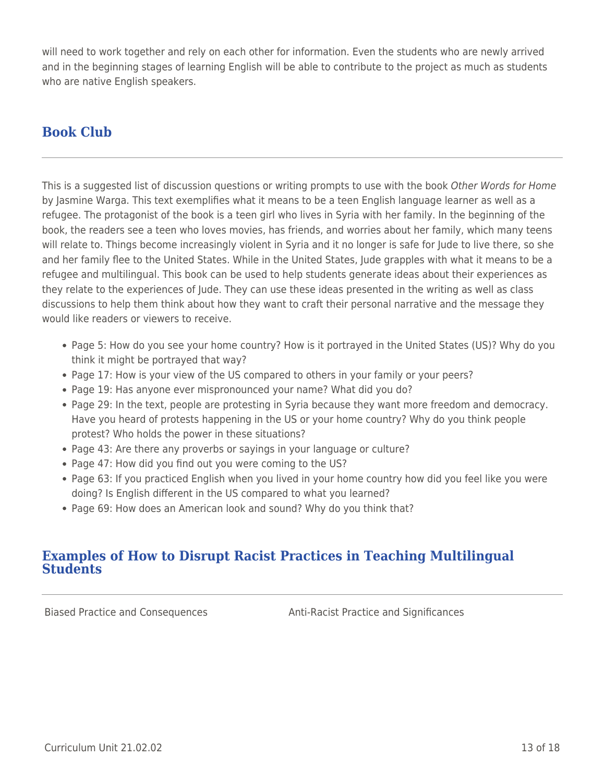will need to work together and rely on each other for information. Even the students who are newly arrived and in the beginning stages of learning English will be able to contribute to the project as much as students who are native English speakers.

# **Book Club**

This is a suggested list of discussion questions or writing prompts to use with the book Other Words for Home by Jasmine Warga. This text exemplifies what it means to be a teen English language learner as well as a refugee. The protagonist of the book is a teen girl who lives in Syria with her family. In the beginning of the book, the readers see a teen who loves movies, has friends, and worries about her family, which many teens will relate to. Things become increasingly violent in Syria and it no longer is safe for Jude to live there, so she and her family flee to the United States. While in the United States, Jude grapples with what it means to be a refugee and multilingual. This book can be used to help students generate ideas about their experiences as they relate to the experiences of Jude. They can use these ideas presented in the writing as well as class discussions to help them think about how they want to craft their personal narrative and the message they would like readers or viewers to receive.

- Page 5: How do you see your home country? How is it portrayed in the United States (US)? Why do you think it might be portrayed that way?
- Page 17: How is your view of the US compared to others in your family or your peers?
- Page 19: Has anyone ever mispronounced your name? What did you do?
- Page 29: In the text, people are protesting in Syria because they want more freedom and democracy. Have you heard of protests happening in the US or your home country? Why do you think people protest? Who holds the power in these situations?
- Page 43: Are there any proverbs or sayings in your language or culture?
- Page 47: How did you find out you were coming to the US?
- Page 63: If you practiced English when you lived in your home country how did you feel like you were doing? Is English different in the US compared to what you learned?
- Page 69: How does an American look and sound? Why do you think that?

## **Examples of How to Disrupt Racist Practices in Teaching Multilingual Students**

Biased Practice and Consequences **Anti-Racist Practice and Significances**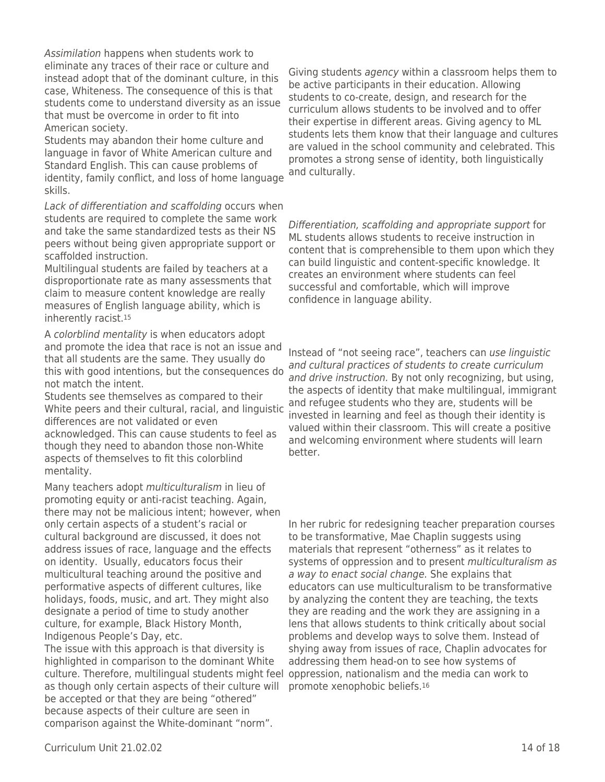Assimilation happens when students work to eliminate any traces of their race or culture and instead adopt that of the dominant culture, in this case, Whiteness. The consequence of this is that students come to understand diversity as an issue that must be overcome in order to fit into American society.

Students may abandon their home culture and language in favor of White American culture and Standard English. This can cause problems of identity, family conflict, and loss of home language skills.

Lack of differentiation and scaffolding occurs when students are required to complete the same work and take the same standardized tests as their NS peers without being given appropriate support or scaffolded instruction.

Multilingual students are failed by teachers at a disproportionate rate as many assessments that claim to measure content knowledge are really measures of English language ability, which is inherently racist.<sup>15</sup>

A colorblind mentality is when educators adopt and promote the idea that race is not an issue and that all students are the same. They usually do this with good intentions, but the consequences do not match the intent.

Students see themselves as compared to their White peers and their cultural, racial, and linguistic differences are not validated or even acknowledged. This can cause students to feel as though they need to abandon those non-White aspects of themselves to fit this colorblind mentality.

Many teachers adopt multiculturalism in lieu of promoting equity or anti-racist teaching. Again, there may not be malicious intent; however, when only certain aspects of a student's racial or cultural background are discussed, it does not address issues of race, language and the effects on identity. Usually, educators focus their multicultural teaching around the positive and performative aspects of different cultures, like holidays, foods, music, and art. They might also designate a period of time to study another culture, for example, Black History Month, Indigenous People's Day, etc.

The issue with this approach is that diversity is highlighted in comparison to the dominant White culture. Therefore, multilingual students might feel as though only certain aspects of their culture will be accepted or that they are being "othered" because aspects of their culture are seen in comparison against the White-dominant "norm".

Giving students agency within a classroom helps them to be active participants in their education. Allowing students to co-create, design, and research for the curriculum allows students to be involved and to offer their expertise in different areas. Giving agency to ML students lets them know that their language and cultures are valued in the school community and celebrated. This promotes a strong sense of identity, both linguistically and culturally.

Differentiation, scaffolding and appropriate support for ML students allows students to receive instruction in content that is comprehensible to them upon which they can build linguistic and content-specific knowledge. It creates an environment where students can feel successful and comfortable, which will improve confidence in language ability.

Instead of "not seeing race", teachers can use linguistic and cultural practices of students to create curriculum and drive instruction. By not only recognizing, but using, the aspects of identity that make multilingual, immigrant and refugee students who they are, students will be invested in learning and feel as though their identity is valued within their classroom. This will create a positive and welcoming environment where students will learn better.

In her rubric for redesigning teacher preparation courses to be transformative, Mae Chaplin suggests using materials that represent "otherness" as it relates to systems of oppression and to present *multiculturalism as* a way to enact social change. She explains that educators can use multiculturalism to be transformative by analyzing the content they are teaching, the texts they are reading and the work they are assigning in a lens that allows students to think critically about social problems and develop ways to solve them. Instead of shying away from issues of race, Chaplin advocates for addressing them head-on to see how systems of oppression, nationalism and the media can work to promote xenophobic beliefs.16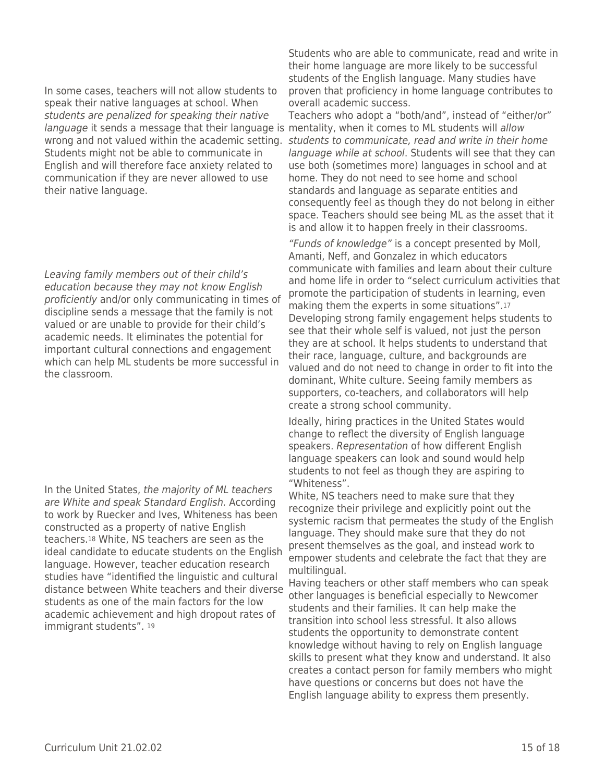## In some cases, teachers will not allow students to speak their native languages at school. When students are penalized for speaking their native language it sends a message that their language is mentality, when it comes to ML students will allow Students might not be able to communicate in English and will therefore face anxiety related to communication if they are never allowed to use their native language.

Leaving family members out of their child's education because they may not know English proficiently and/or only communicating in times of discipline sends a message that the family is not valued or are unable to provide for their child's academic needs. It eliminates the potential for important cultural connections and engagement which can help ML students be more successful in the classroom.

In the United States, the majority of ML teachers are White and speak Standard English. According to work by Ruecker and Ives, Whiteness has been constructed as a property of native English teachers.18 White, NS teachers are seen as the ideal candidate to educate students on the English language. However, teacher education research studies have "identified the linguistic and cultural distance between White teachers and their diverse students as one of the main factors for the low academic achievement and high dropout rates of immigrant students". <sup>19</sup>

Students who are able to communicate, read and write in their home language are more likely to be successful students of the English language. Many studies have proven that proficiency in home language contributes to overall academic success.

wrong and not valued within the academic setting. Students to communicate, read and write in their home Teachers who adopt a "both/and", instead of "either/or" language while at school. Students will see that they can use both (sometimes more) languages in school and at home. They do not need to see home and school standards and language as separate entities and consequently feel as though they do not belong in either space. Teachers should see being ML as the asset that it is and allow it to happen freely in their classrooms.

> "Funds of knowledge" is a concept presented by Moll, Amanti, Neff, and Gonzalez in which educators communicate with families and learn about their culture and home life in order to "select curriculum activities that promote the participation of students in learning, even making them the experts in some situations".<sup>17</sup> Developing strong family engagement helps students to see that their whole self is valued, not just the person they are at school. It helps students to understand that their race, language, culture, and backgrounds are valued and do not need to change in order to fit into the dominant, White culture. Seeing family members as supporters, co-teachers, and collaborators will help create a strong school community.

Ideally, hiring practices in the United States would change to reflect the diversity of English language speakers. Representation of how different English language speakers can look and sound would help students to not feel as though they are aspiring to "Whiteness".

White, NS teachers need to make sure that they recognize their privilege and explicitly point out the systemic racism that permeates the study of the English language. They should make sure that they do not present themselves as the goal, and instead work to empower students and celebrate the fact that they are multilingual.

Having teachers or other staff members who can speak other languages is beneficial especially to Newcomer students and their families. It can help make the transition into school less stressful. It also allows students the opportunity to demonstrate content knowledge without having to rely on English language skills to present what they know and understand. It also creates a contact person for family members who might have questions or concerns but does not have the English language ability to express them presently.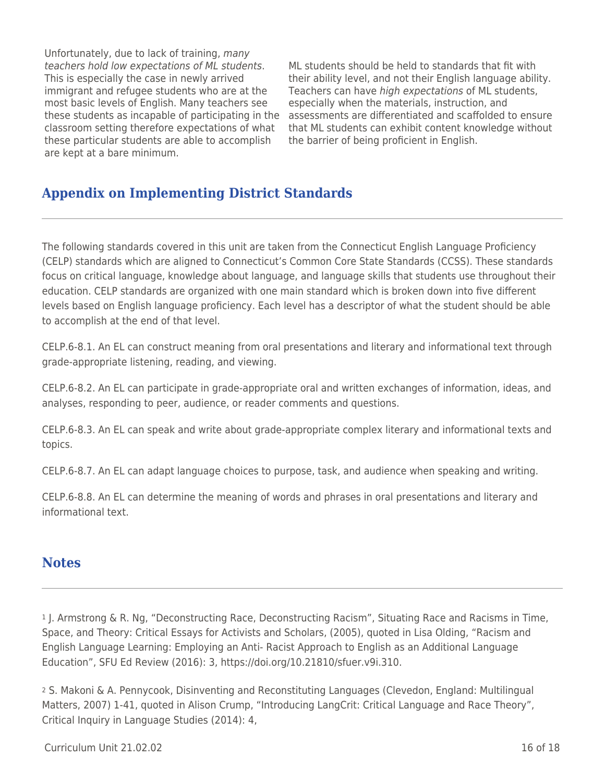Unfortunately, due to lack of training, many teachers hold low expectations of ML students. This is especially the case in newly arrived immigrant and refugee students who are at the most basic levels of English. Many teachers see these students as incapable of participating in the classroom setting therefore expectations of what these particular students are able to accomplish are kept at a bare minimum.

ML students should be held to standards that fit with their ability level, and not their English language ability. Teachers can have high expectations of ML students, especially when the materials, instruction, and assessments are differentiated and scaffolded to ensure that ML students can exhibit content knowledge without the barrier of being proficient in English.

# **Appendix on Implementing District Standards**

The following standards covered in this unit are taken from the Connecticut English Language Proficiency (CELP) standards which are aligned to Connecticut's Common Core State Standards (CCSS). These standards focus on critical language, knowledge about language, and language skills that students use throughout their education. CELP standards are organized with one main standard which is broken down into five different levels based on English language proficiency. Each level has a descriptor of what the student should be able to accomplish at the end of that level.

CELP.6-8.1. An EL can construct meaning from oral presentations and literary and informational text through grade-appropriate listening, reading, and viewing.

CELP.6-8.2. An EL can participate in grade-appropriate oral and written exchanges of information, ideas, and analyses, responding to peer, audience, or reader comments and questions.

CELP.6-8.3. An EL can speak and write about grade-appropriate complex literary and informational texts and topics.

CELP.6-8.7. An EL can adapt language choices to purpose, task, and audience when speaking and writing.

CELP.6-8.8. An EL can determine the meaning of words and phrases in oral presentations and literary and informational text.

# **Notes**

<sup>1</sup> J. Armstrong & R. Ng, "Deconstructing Race, Deconstructing Racism", Situating Race and Racisms in Time, Space, and Theory: Critical Essays for Activists and Scholars, (2005), quoted in Lisa Olding, "Racism and English Language Learning: Employing an Anti- Racist Approach to English as an Additional Language Education", SFU Ed Review (2016): 3, https://doi.org/10.21810/sfuer.v9i.310.

<sup>2</sup> S. Makoni & A. Pennycook, Disinventing and Reconstituting Languages (Clevedon, England: Multilingual Matters, 2007) 1-41, quoted in Alison Crump, "Introducing LangCrit: Critical Language and Race Theory", Critical Inquiry in Language Studies (2014): 4,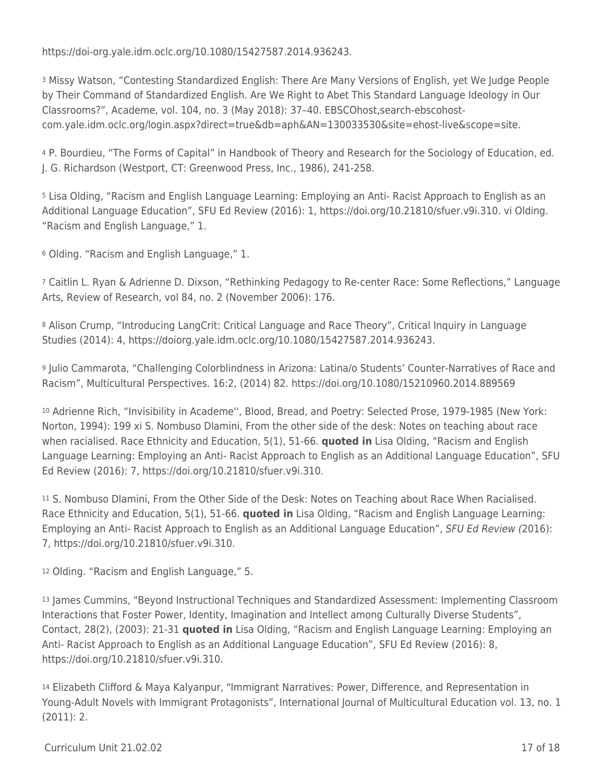https://doi-org.yale.idm.oclc.org/10.1080/15427587.2014.936243.

<sup>3</sup> Missy Watson, "Contesting Standardized English: There Are Many Versions of English, yet We Judge People by Their Command of Standardized English. Are We Right to Abet This Standard Language Ideology in Our Classrooms?", Academe, vol. 104, no. 3 (May 2018): 37–40. EBSCOhost,search-ebscohostcom.yale.idm.oclc.org/login.aspx?direct=true&db=aph&AN=130033530&site=ehost-live&scope=site.

<sup>4</sup> P. Bourdieu, "The Forms of Capital" in Handbook of Theory and Research for the Sociology of Education, ed. J. G. Richardson (Westport, CT: Greenwood Press, Inc., 1986), 241-258.

<sup>5</sup> Lisa Olding, "Racism and English Language Learning: Employing an Anti- Racist Approach to English as an Additional Language Education", SFU Ed Review (2016): 1, https://doi.org/10.21810/sfuer.v9i.310. vi Olding. "Racism and English Language," 1.

<sup>6</sup> Olding. "Racism and English Language," 1.

<sup>7</sup> Caitlin L. Ryan & Adrienne D. Dixson, "Rethinking Pedagogy to Re-center Race: Some Reflections," Language Arts, Review of Research, vol 84, no. 2 (November 2006): 176.

8 Alison Crump, "Introducing LangCrit: Critical Language and Race Theory", Critical Inquiry in Language Studies (2014): 4, https://doiorg.yale.idm.oclc.org/10.1080/15427587.2014.936243.

<sup>9</sup> Julio Cammarota, "Challenging Colorblindness in Arizona: Latina/o Students' Counter-Narratives of Race and Racism", Multicultural Perspectives. 16:2, (2014) 82. https://doi.org/10.1080/15210960.2014.889569

<sup>10</sup> Adrienne Rich, "Invisibility in Academe'', Blood, Bread, and Poetry: Selected Prose, 1979-1985 (New York: Norton, 1994): 199 xi S. Nombuso Dlamini, From the other side of the desk: Notes on teaching about race when racialised. Race Ethnicity and Education, 5(1), 51-66. **quoted in** Lisa Olding, "Racism and English Language Learning: Employing an Anti- Racist Approach to English as an Additional Language Education", SFU Ed Review (2016): 7, https://doi.org/10.21810/sfuer.v9i.310.

<sup>11</sup> S. Nombuso Dlamini, From the Other Side of the Desk: Notes on Teaching about Race When Racialised. Race Ethnicity and Education, 5(1), 51-66. **quoted in** Lisa Olding, "Racism and English Language Learning: Employing an Anti- Racist Approach to English as an Additional Language Education", SFU Ed Review (2016): 7, https://doi.org/10.21810/sfuer.v9i.310.

<sup>12</sup> Olding. "Racism and English Language," 5.

<sup>13</sup> James Cummins, "Beyond Instructional Techniques and Standardized Assessment: Implementing Classroom Interactions that Foster Power, Identity, Imagination and Intellect among Culturally Diverse Students", Contact, 28(2), (2003): 21-31 **quoted in** Lisa Olding, "Racism and English Language Learning: Employing an Anti- Racist Approach to English as an Additional Language Education", SFU Ed Review (2016): 8, https://doi.org/10.21810/sfuer.v9i.310.

<sup>14</sup> Elizabeth Clifford & Maya Kalyanpur, "Immigrant Narratives: Power, Difference, and Representation in Young-Adult Novels with Immigrant Protagonists", International Journal of Multicultural Education vol. 13, no. 1 (2011): 2.